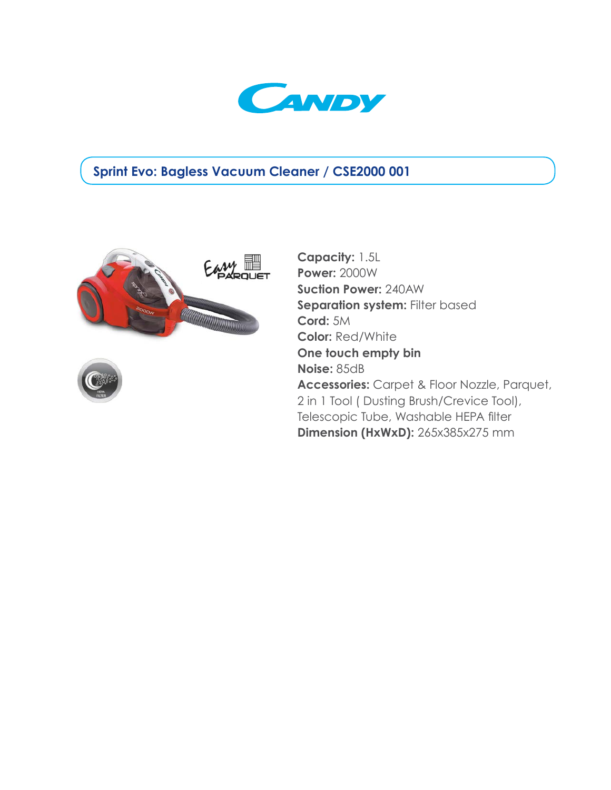

## **Sprint Evo: Bagless Vacuum Cleaner / CSE2000 001**